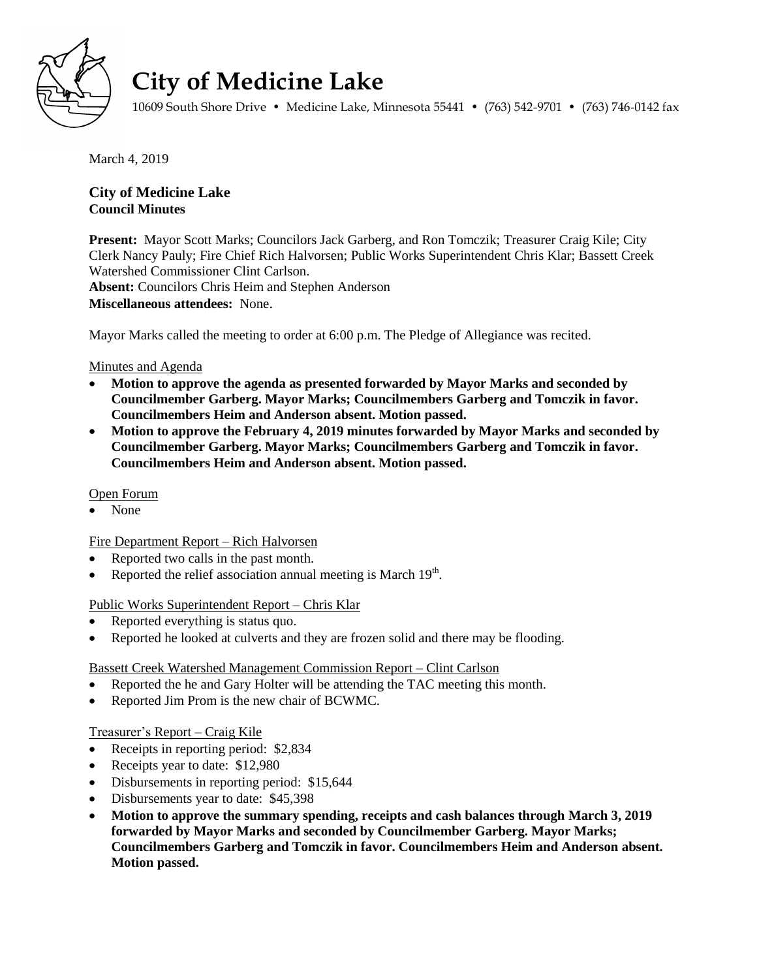

# **City of Medicine Lake**

10609 South Shore Drive • Medicine Lake, Minnesota 55441 • (763) 542-9701 • (763) 746-0142 fax

March 4, 2019

# **City of Medicine Lake Council Minutes**

**Present:** Mayor Scott Marks; Councilors Jack Garberg, and Ron Tomczik; Treasurer Craig Kile; City Clerk Nancy Pauly; Fire Chief Rich Halvorsen; Public Works Superintendent Chris Klar; Bassett Creek Watershed Commissioner Clint Carlson. **Absent:** Councilors Chris Heim and Stephen Anderson **Miscellaneous attendees:** None.

Mayor Marks called the meeting to order at 6:00 p.m. The Pledge of Allegiance was recited.

# Minutes and Agenda

- **Motion to approve the agenda as presented forwarded by Mayor Marks and seconded by Councilmember Garberg. Mayor Marks; Councilmembers Garberg and Tomczik in favor. Councilmembers Heim and Anderson absent. Motion passed.**
- **Motion to approve the February 4, 2019 minutes forwarded by Mayor Marks and seconded by Councilmember Garberg. Mayor Marks; Councilmembers Garberg and Tomczik in favor. Councilmembers Heim and Anderson absent. Motion passed.**

# Open Forum

None

#### Fire Department Report – Rich Halvorsen

- Reported two calls in the past month.
- Reported the relief association annual meeting is March  $19<sup>th</sup>$ .

#### Public Works Superintendent Report – Chris Klar

- Reported everything is status quo.
- Reported he looked at culverts and they are frozen solid and there may be flooding.

#### Bassett Creek Watershed Management Commission Report – Clint Carlson

- Reported the he and Gary Holter will be attending the TAC meeting this month.
- Reported Jim Prom is the new chair of BCWMC.

# Treasurer's Report – Craig Kile

- Receipts in reporting period: \$2,834
- Receipts year to date: \$12,980
- Disbursements in reporting period: \$15,644
- Disbursements year to date: \$45,398
- **Motion to approve the summary spending, receipts and cash balances through March 3, 2019 forwarded by Mayor Marks and seconded by Councilmember Garberg. Mayor Marks; Councilmembers Garberg and Tomczik in favor. Councilmembers Heim and Anderson absent. Motion passed.**